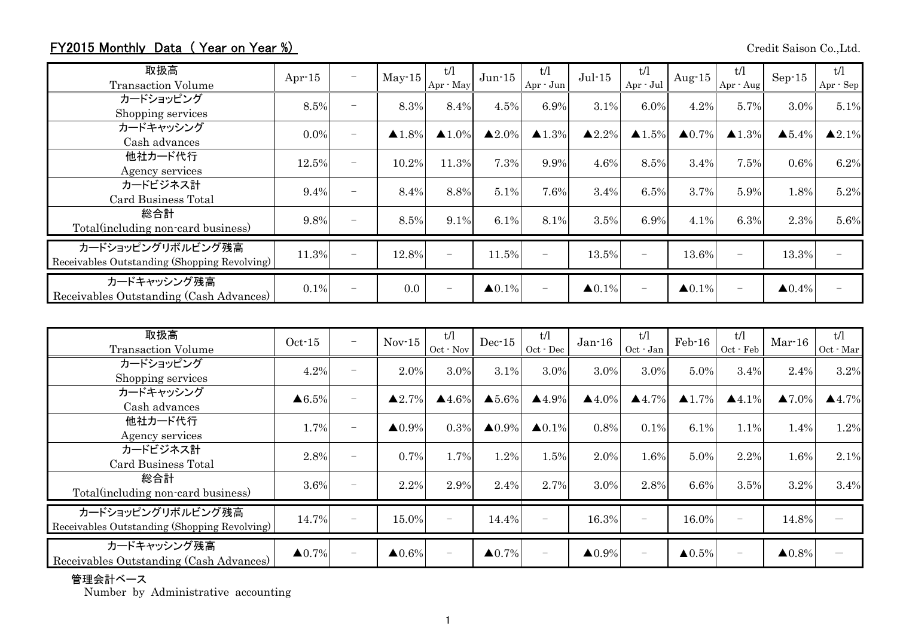## FY2015 Monthly Data (Year on Year %) Credit Saison Co.,Ltd.

| 取扱高<br><b>Transaction Volume</b>                                  | Apr $-15$ | $\overline{\phantom{0}}$ | $May-15$              | t/l<br>Apr · May      | $Jun-15$               | t/l<br>Apr - Jun         | $Jul-15$               | t/l<br>Apr - Jul         | Aug- $15$         | t/l<br>Apr - Aug         | $Sep-15$               | t/l<br>Apr - Sep       |
|-------------------------------------------------------------------|-----------|--------------------------|-----------------------|-----------------------|------------------------|--------------------------|------------------------|--------------------------|-------------------|--------------------------|------------------------|------------------------|
| カードショッピング<br>Shopping services                                    | 8.5%      | $\overline{\phantom{0}}$ | 8.3%                  | 8.4%                  | 4.5%                   | 6.9%                     | 3.1%                   | 6.0%                     | 4.2%              | 5.7%                     | 3.0%                   | 5.1%                   |
| カードキャッシング<br>Cash advances                                        | $0.0\%$   | $\overline{\phantom{0}}$ | $\blacktriangle$ 1.8% | $\blacktriangle$ 1.0% | $\triangle 2.0\%$      | $\blacktriangle$ 1.3%    | $\triangle 2.2\%$      | $\blacktriangle$ 1.5%    | $\triangle 0.7\%$ | $\blacktriangle$ 1.3%    | $\blacktriangle 5.4\%$ | $\blacktriangle 2.1\%$ |
| 他社カード代行<br>Agency services                                        | 12.5%     | $\overline{\phantom{0}}$ | 10.2%                 | 11.3%                 | 7.3%                   | 9.9%                     | 4.6%                   | 8.5%                     | 3.4%              | 7.5%                     | 0.6%                   | 6.2%                   |
| カードビジネス計<br>Card Business Total                                   | 9.4%      | $\overline{\phantom{0}}$ | 8.4%                  | 8.8%                  | 5.1%                   | 7.6%                     | 3.4%                   | 6.5%                     | 3.7%              | 5.9%                     | 1.8%                   | 5.2%                   |
| 総合計<br>Total (including non-card business)                        | 9.8%      |                          | 8.5%                  | 9.1%                  | 6.1%                   | 8.1%                     | 3.5%                   | 6.9%                     | 4.1%              | 6.3%                     | 2.3%                   | 5.6%                   |
| カードショッピングリボルビング残高<br>Receivables Outstanding (Shopping Revolving) | 11.3%     | $\overline{\phantom{0}}$ | 12.8%                 |                       | 11.5%                  | $\overline{\phantom{0}}$ | 13.5%                  |                          | 13.6%             | $\qquad \qquad -$        | 13.3%                  |                        |
| カードキャッシング残高<br>Receivables Outstanding (Cash Advances)            | 0.1%      |                          | 0.0                   |                       | $\blacktriangle 0.1\%$ | $\overline{\phantom{0}}$ | $\blacktriangle 0.1\%$ | $\overline{\phantom{a}}$ | $\triangle 0.1\%$ | $\overline{\phantom{0}}$ | $\blacktriangle 0.4\%$ |                        |

| 取扱高<br><b>Transaction Volume</b>                                  | $Oct-15$               | $\overline{\phantom{m}}$ | $Nov-15$               | t/l<br>Oct - Nov      | $Dec-15$          | t/l<br>$Oct - Dec$       | $Jan-16$          | t/l<br>Oct - Jan         | $Feb-16$          | t/l<br>Oct - Feb         | $Mar-16$               | t/l<br>Oct - Mar  |
|-------------------------------------------------------------------|------------------------|--------------------------|------------------------|-----------------------|-------------------|--------------------------|-------------------|--------------------------|-------------------|--------------------------|------------------------|-------------------|
| カードショッピング<br>Shopping services                                    | 4.2%                   | ۰                        | 2.0%                   | 3.0%                  | 3.1%              | 3.0%                     | 3.0%              | 3.0%                     | 5.0%              | 3.4%                     | 2.4%                   | 3.2%              |
| カードキャッシング<br>Cash advances                                        | $\triangle 6.5\%$      |                          | $\blacktriangle 2.7\%$ | $\blacktriangle$ 4.6% | $\triangle 5.6\%$ | $\blacktriangle$ 4.9%    | $\triangle 4.0\%$ | $\blacktriangle$ 4.7%    | $\triangle 1.7\%$ | $\blacktriangle$ 4.1%    | $\blacktriangle 7.0\%$ | $\triangle 4.7\%$ |
| 他社カード代行<br>Agency services                                        | 1.7%                   | $\overline{\phantom{0}}$ | $\triangle 0.9\%$      | 0.3%                  | $\triangle 0.9\%$ | $\triangle 0.1\%$        | 0.8%              | 0.1%                     | 6.1%              | 1.1%                     | 1.4%                   | 1.2%              |
| カードビジネス計<br>Card Business Total                                   | 2.8%                   | ÷                        | 0.7%                   | 1.7%                  | 1.2%              | 1.5%                     | 2.0%              | 1.6%                     | 5.0%              | 2.2%                     | 1.6%                   | 2.1%              |
| 総合計<br>Total(including non-card business)                         | 3.6%                   | $\overline{\phantom{0}}$ | 2.2%                   | 2.9%                  | 2.4%              | 2.7%                     | 3.0%              | 2.8%                     | 6.6%              | 3.5%                     | 3.2%                   | 3.4%              |
| カードショッピングリボルビング残高<br>Receivables Outstanding (Shopping Revolving) | 14.7%                  |                          | 15.0%                  |                       | 14.4%             | $\overline{\phantom{0}}$ | 16.3%             | $\overline{\phantom{a}}$ | 16.0%             |                          | 14.8%                  |                   |
| カードキャッシング残高<br>Receivables Outstanding (Cash Advances)            | $\blacktriangle 0.7\%$ | $\overline{\phantom{0}}$ | $\triangle 0.6\%$      |                       | $\triangle 0.7\%$ | $\overline{\phantom{m}}$ | $\triangle 0.9\%$ | $\overline{\phantom{a}}$ | $\triangle 0.5\%$ | $\overline{\phantom{0}}$ | $\triangle 0.8\%$      |                   |

管理会計ベース

Number by Administrative accounting